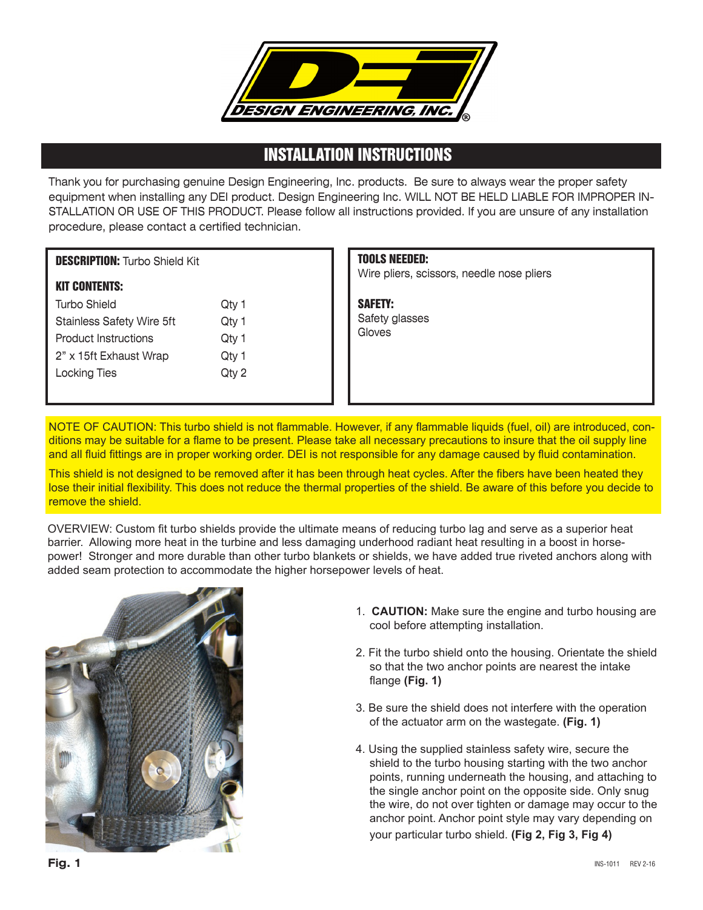

## INSTALLATION INSTRUCTIONS

Thank you for purchasing genuine Design Engineering, Inc. products. Be sure to always wear the proper safety equipment when installing any DEI product. Design Engineering Inc. WILL NOT BE HELD LIABLE FOR IMPROPER IN-STALLATION OR USE OF THIS PRODUCT. Please follow all instructions provided. If you are unsure of any installation procedure, please contact a certified technician.

## DESCRIPTION: Turbo Shield Kit

## KIT CONTENTS:

| <b>Turbo Shield</b>              | Qty 1 |
|----------------------------------|-------|
| <b>Stainless Safety Wire 5ft</b> | Qty 1 |
| <b>Product Instructions</b>      | Qty 1 |
| 2" x 15ft Exhaust Wrap           | Qty 1 |
| <b>Locking Ties</b>              | Qty 2 |
|                                  |       |

## TOOLS NEEDED:

Wire pliers, scissors, needle nose pliers

SAFETY: Safety glasses Gloves

NOTE OF CAUTION: This turbo shield is not flammable. However, if any flammable liquids (fuel, oil) are introduced, conditions may be suitable for a flame to be present. Please take all necessary precautions to insure that the oil supply line and all fluid fittings are in proper working order. DEI is not responsible for any damage caused by fluid contamination.

This shield is not designed to be removed after it has been through heat cycles. After the fibers have been heated they lose their initial flexibility. This does not reduce the thermal properties of the shield. Be aware of this before you decide to remove the shield.

OVERVIEW: Custom fit turbo shields provide the ultimate means of reducing turbo lag and serve as a superior heat barrier. Allowing more heat in the turbine and less damaging underhood radiant heat resulting in a boost in horsepower! Stronger and more durable than other turbo blankets or shields, we have added true riveted anchors along with added seam protection to accommodate the higher horsepower levels of heat.



- 1. **CAUTION:** Make sure the engine and turbo housing are cool before attempting installation.
- 2. Fit the turbo shield onto the housing. Orientate the shield so that the two anchor points are nearest the intake flange **(Fig. 1)**
- 3. Be sure the shield does not interfere with the operation of the actuator arm on the wastegate. **(Fig. 1)**
- 4. Using the supplied stainless safety wire, secure the shield to the turbo housing starting with the two anchor points, running underneath the housing, and attaching to the single anchor point on the opposite side. Only snug the wire, do not over tighten or damage may occur to the anchor point. Anchor point style may vary depending on

your particular turbo shield. **(Fig 2, Fig 3, Fig 4)**